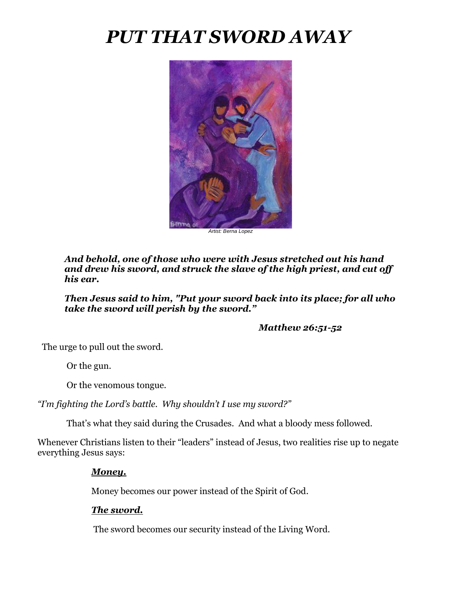# *PUT THAT SWORD AWAY*



*Artist: Berna Lopez*

*And behold, one of those who were with Jesus stretched out his hand and drew his sword, and struck the slave of the high priest, and cut off his ear.*

*Then Jesus said to him, "Put your sword back into its place; for all who take the sword will perish by the sword."*

 *Matthew 26:51-52*

The urge to pull out the sword.

Or the gun.

Or the venomous tongue.

*"I'm fighting the Lord's battle. Why shouldn't I use my sword?"*

That's what they said during the Crusades. And what a bloody mess followed.

Whenever Christians listen to their "leaders" instead of Jesus, two realities rise up to negate everything Jesus says:

## *Money.*

Money becomes our power instead of the Spirit of God.

## *The sword.*

The sword becomes our security instead of the Living Word.